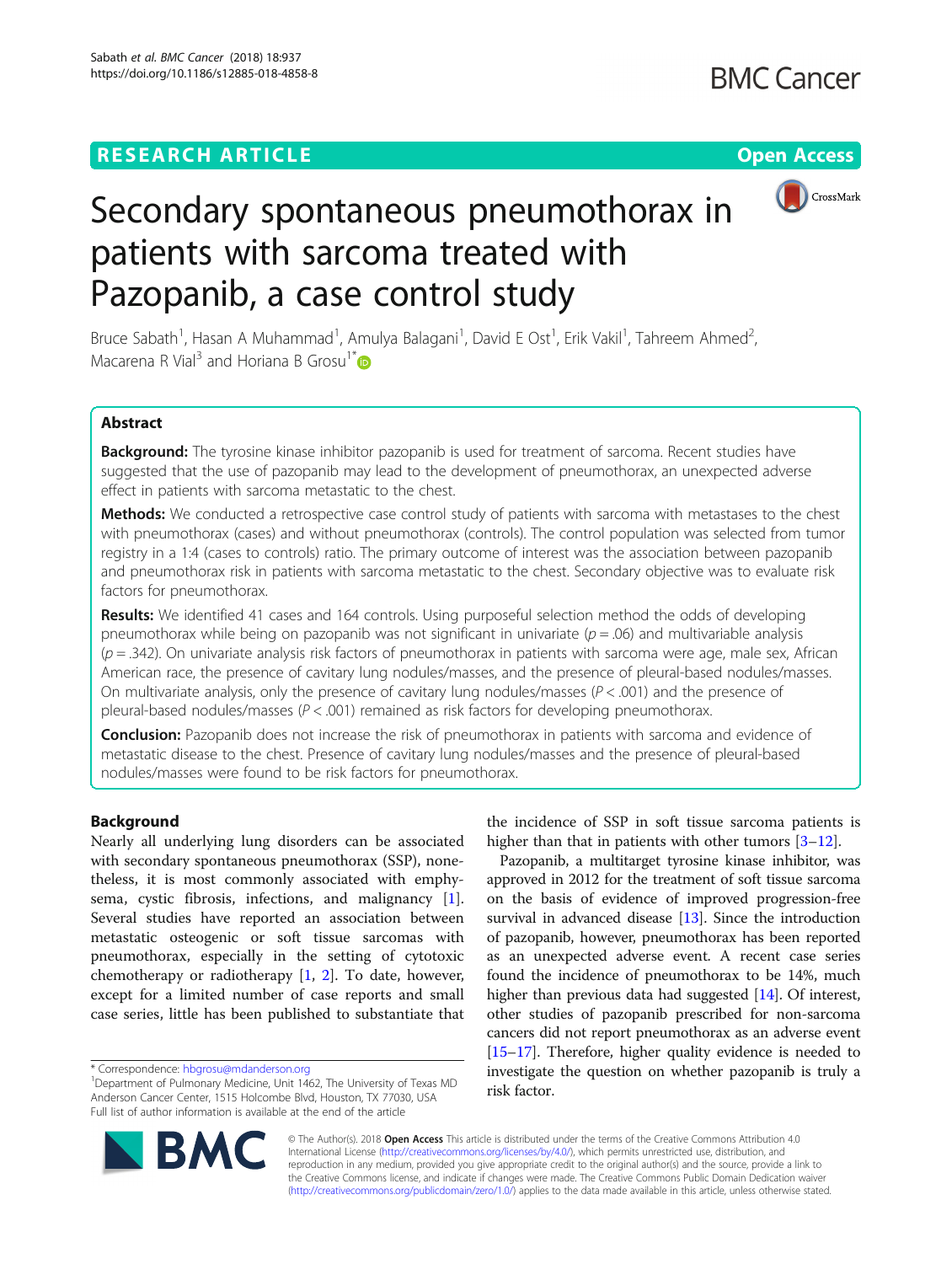## **RESEARCH ARTICLE Example 2014 12:30 The Contract of Contract ACCESS**



# Secondary spontaneous pneumothorax in patients with sarcoma treated with Pazopanib, a case control study

Bruce Sabath<sup>1</sup>, Hasan A Muhammad<sup>1</sup>, Amulya Balagani<sup>1</sup>, David E Ost<sup>1</sup>, Erik Vakil<sup>1</sup>, Tahreem Ahmed<sup>2</sup> , Macarena R Vial<sup>3</sup> and Horiana B Grosu<sup>1[\\*](http://orcid.org/0000-0003-2384-4268)</sup>

## Abstract

Background: The tyrosine kinase inhibitor pazopanib is used for treatment of sarcoma. Recent studies have suggested that the use of pazopanib may lead to the development of pneumothorax, an unexpected adverse effect in patients with sarcoma metastatic to the chest.

Methods: We conducted a retrospective case control study of patients with sarcoma with metastases to the chest with pneumothorax (cases) and without pneumothorax (controls). The control population was selected from tumor registry in a 1:4 (cases to controls) ratio. The primary outcome of interest was the association between pazopanib and pneumothorax risk in patients with sarcoma metastatic to the chest. Secondary objective was to evaluate risk factors for pneumothorax.

**Results:** We identified 41 cases and 164 controls. Using purposeful selection method the odds of developing pneumothorax while being on pazopanib was not significant in univariate ( $p = .06$ ) and multivariable analysis  $(p=.342)$ . On univariate analysis risk factors of pneumothorax in patients with sarcoma were age, male sex, African American race, the presence of cavitary lung nodules/masses, and the presence of pleural-based nodules/masses. On multivariate analysis, only the presence of cavitary lung nodules/masses ( $P < .001$ ) and the presence of pleural-based nodules/masses ( $P < .001$ ) remained as risk factors for developing pneumothorax.

**Conclusion:** Pazopanib does not increase the risk of pneumothorax in patients with sarcoma and evidence of metastatic disease to the chest. Presence of cavitary lung nodules/masses and the presence of pleural-based nodules/masses were found to be risk factors for pneumothorax.

### Background

Nearly all underlying lung disorders can be associated with secondary spontaneous pneumothorax (SSP), nonetheless, it is most commonly associated with emphysema, cystic fibrosis, infections, and malignancy [\[1](#page-4-0)]. Several studies have reported an association between metastatic osteogenic or soft tissue sarcomas with pneumothorax, especially in the setting of cytotoxic chemotherapy or radiotherapy [\[1](#page-4-0), [2](#page-4-0)]. To date, however, except for a limited number of case reports and small case series, little has been published to substantiate that

the incidence of SSP in soft tissue sarcoma patients is higher than that in patients with other tumors  $[3-12]$  $[3-12]$  $[3-12]$  $[3-12]$  $[3-12]$ .

Pazopanib, a multitarget tyrosine kinase inhibitor, was approved in 2012 for the treatment of soft tissue sarcoma on the basis of evidence of improved progression-free survival in advanced disease [[13](#page-4-0)]. Since the introduction of pazopanib, however, pneumothorax has been reported as an unexpected adverse event. A recent case series found the incidence of pneumothorax to be 14%, much higher than previous data had suggested [[14](#page-4-0)]. Of interest, other studies of pazopanib prescribed for non-sarcoma cancers did not report pneumothorax as an adverse event [[15](#page-4-0)–[17\]](#page-5-0). Therefore, higher quality evidence is needed to investigate the question on whether pazopanib is truly a risk factor.



© The Author(s). 2018 Open Access This article is distributed under the terms of the Creative Commons Attribution 4.0 International License [\(http://creativecommons.org/licenses/by/4.0/](http://creativecommons.org/licenses/by/4.0/)), which permits unrestricted use, distribution, and reproduction in any medium, provided you give appropriate credit to the original author(s) and the source, provide a link to the Creative Commons license, and indicate if changes were made. The Creative Commons Public Domain Dedication waiver [\(http://creativecommons.org/publicdomain/zero/1.0/](http://creativecommons.org/publicdomain/zero/1.0/)) applies to the data made available in this article, unless otherwise stated.

<sup>\*</sup> Correspondence: [hbgrosu@mdanderson.org](mailto:hbgrosu@mdanderson.org) <sup>1</sup>

<sup>&</sup>lt;sup>1</sup>Department of Pulmonary Medicine, Unit 1462, The University of Texas MD Anderson Cancer Center, 1515 Holcombe Blvd, Houston, TX 77030, USA Full list of author information is available at the end of the article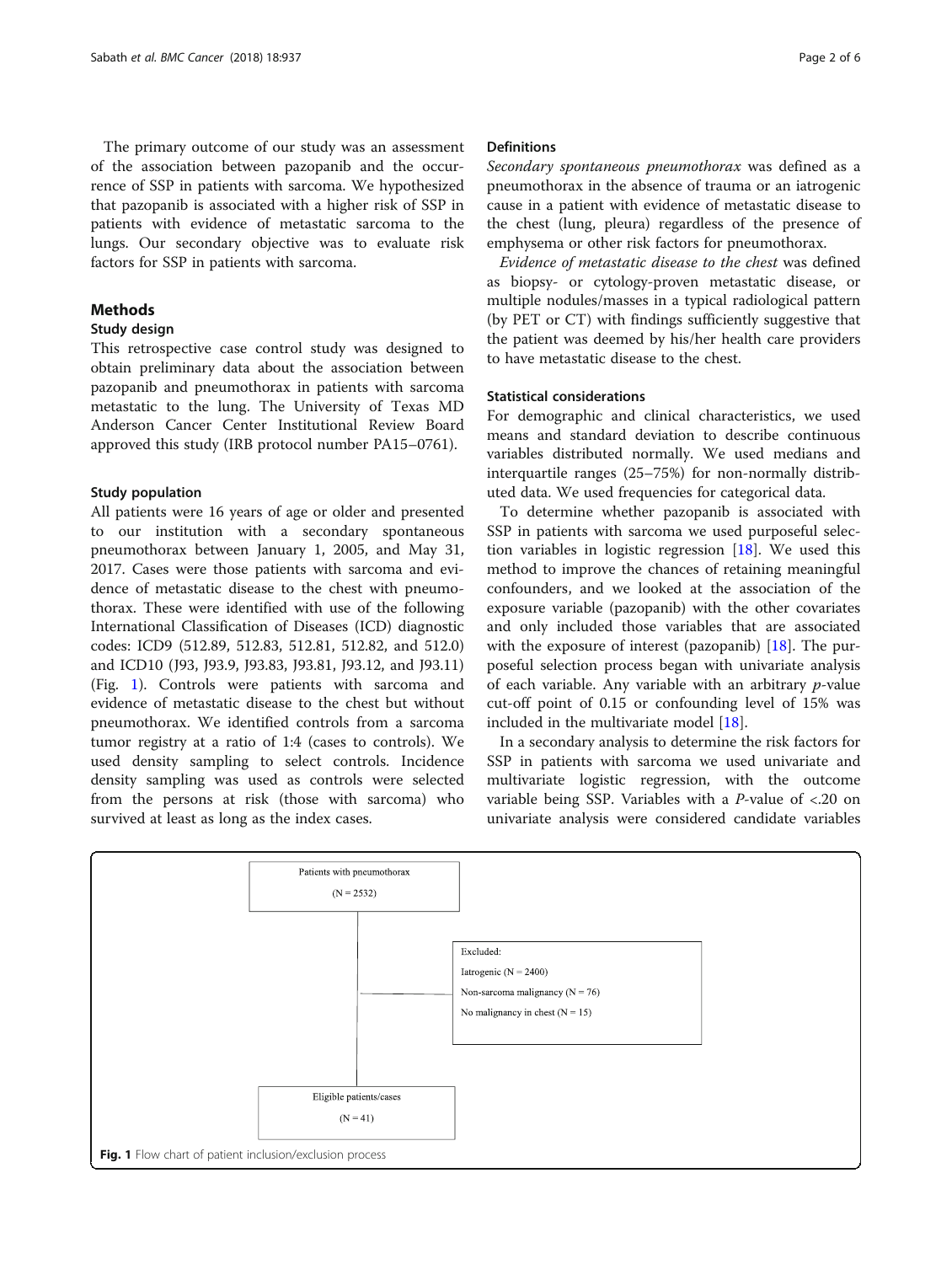The primary outcome of our study was an assessment of the association between pazopanib and the occurrence of SSP in patients with sarcoma. We hypothesized that pazopanib is associated with a higher risk of SSP in patients with evidence of metastatic sarcoma to the lungs. Our secondary objective was to evaluate risk factors for SSP in patients with sarcoma.

#### **Methods**

#### Study design

This retrospective case control study was designed to obtain preliminary data about the association between pazopanib and pneumothorax in patients with sarcoma metastatic to the lung. The University of Texas MD Anderson Cancer Center Institutional Review Board approved this study (IRB protocol number PA15–0761).

#### Study population

All patients were 16 years of age or older and presented to our institution with a secondary spontaneous pneumothorax between January 1, 2005, and May 31, 2017. Cases were those patients with sarcoma and evidence of metastatic disease to the chest with pneumothorax. These were identified with use of the following International Classification of Diseases (ICD) diagnostic codes: ICD9 (512.89, 512.83, 512.81, 512.82, and 512.0) and ICD10 (J93, J93.9, J93.83, J93.81, J93.12, and J93.11) (Fig. 1). Controls were patients with sarcoma and evidence of metastatic disease to the chest but without pneumothorax. We identified controls from a sarcoma tumor registry at a ratio of 1:4 (cases to controls). We used density sampling to select controls. Incidence density sampling was used as controls were selected from the persons at risk (those with sarcoma) who survived at least as long as the index cases.

#### **Definitions**

Secondary spontaneous pneumothorax was defined as a pneumothorax in the absence of trauma or an iatrogenic cause in a patient with evidence of metastatic disease to the chest (lung, pleura) regardless of the presence of emphysema or other risk factors for pneumothorax.

Evidence of metastatic disease to the chest was defined as biopsy- or cytology-proven metastatic disease, or multiple nodules/masses in a typical radiological pattern (by PET or CT) with findings sufficiently suggestive that the patient was deemed by his/her health care providers to have metastatic disease to the chest.

### Statistical considerations

For demographic and clinical characteristics, we used means and standard deviation to describe continuous variables distributed normally. We used medians and interquartile ranges (25–75%) for non-normally distributed data. We used frequencies for categorical data.

To determine whether pazopanib is associated with SSP in patients with sarcoma we used purposeful selection variables in logistic regression  $[18]$  $[18]$ . We used this method to improve the chances of retaining meaningful confounders, and we looked at the association of the exposure variable (pazopanib) with the other covariates and only included those variables that are associated with the exposure of interest (pazopanib) [[18\]](#page-5-0). The purposeful selection process began with univariate analysis of each variable. Any variable with an arbitrary  $p$ -value cut-off point of 0.15 or confounding level of 15% was included in the multivariate model [[18\]](#page-5-0).

In a secondary analysis to determine the risk factors for SSP in patients with sarcoma we used univariate and multivariate logistic regression, with the outcome variable being SSP. Variables with a P-value of <.20 on univariate analysis were considered candidate variables

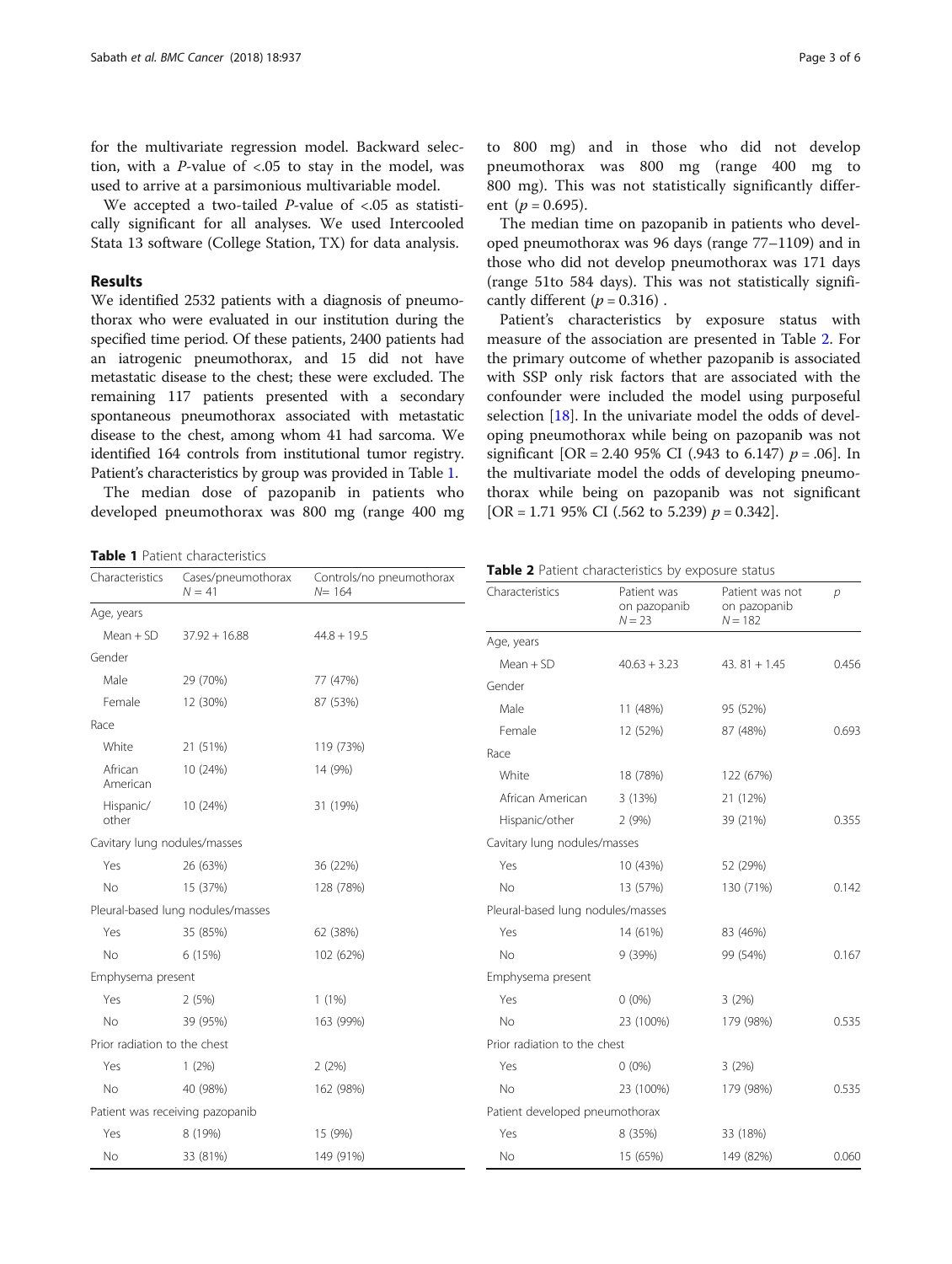<span id="page-2-0"></span>for the multivariate regression model. Backward selection, with a  $P$ -value of <.05 to stay in the model, was used to arrive at a parsimonious multivariable model.

We accepted a two-tailed  $P$ -value of <.05 as statistically significant for all analyses. We used Intercooled Stata 13 software (College Station, TX) for data analysis.

#### Results

We identified 2532 patients with a diagnosis of pneumothorax who were evaluated in our institution during the specified time period. Of these patients, 2400 patients had an iatrogenic pneumothorax, and 15 did not have metastatic disease to the chest; these were excluded. The remaining 117 patients presented with a secondary spontaneous pneumothorax associated with metastatic disease to the chest, among whom 41 had sarcoma. We identified 164 controls from institutional tumor registry. Patient's characteristics by group was provided in Table 1.

The median dose of pazopanib in patients who developed pneumothorax was 800 mg (range 400 mg

Table 1 Patient characteristics

Patient's characteristics by exposure status with measure of the association are presented in Table 2. For the primary outcome of whether pazopanib is associated with SSP only risk factors that are associated with the confounder were included the model using purposeful selection [[18\]](#page-5-0). In the univariate model the odds of developing pneumothorax while being on pazopanib was not significant [OR = 2.40 95% CI (.943 to 6.147)  $p = .06$ ]. In the multivariate model the odds of developing pneumothorax while being on pazopanib was not significant [OR = 1.71 95% CI (.562 to 5.239)  $p = 0.342$ ].

| Characteristics              | Cases/pneumothorax<br>$N = 41$    | Controls/no pneumothorax<br>$N = 164$ |
|------------------------------|-----------------------------------|---------------------------------------|
| Age, years                   |                                   |                                       |
| $Mean + SD$                  | $37.92 + 16.88$                   | $44.8 + 19.5$                         |
| Gender                       |                                   |                                       |
| Male                         | 29 (70%)                          | 77 (47%)                              |
| Female                       | 12 (30%)                          | 87 (53%)                              |
| Race                         |                                   |                                       |
| White                        | 21 (51%)                          | 119 (73%)                             |
| African<br>American          | 10 (24%)                          | 14 (9%)                               |
| Hispanic/<br>other           | 10 (24%)                          | 31 (19%)                              |
| Cavitary lung nodules/masses |                                   |                                       |
| Yes                          | 26 (63%)                          | 36 (22%)                              |
| No.                          | 15 (37%)                          | 128 (78%)                             |
|                              | Pleural-based lung nodules/masses |                                       |
| Yes                          | 35 (85%)                          | 62 (38%)                              |
| <b>No</b>                    | 6 (15%)                           | 102 (62%)                             |
| Emphysema present            |                                   |                                       |
| Yes                          | 2(5%)                             | 1(1%)                                 |
| <b>No</b>                    | 39 (95%)                          | 163 (99%)                             |
| Prior radiation to the chest |                                   |                                       |
| Yes                          | 1(2%)                             | 2(2%)                                 |
| <b>No</b>                    | 40 (98%)                          | 162 (98%)                             |
|                              | Patient was receiving pazopanib   |                                       |
| Yes                          | 8 (19%)                           | 15 (9%)                               |
| No                           | 33 (81%)                          | 149 (91%)                             |

Table 2 Patient characteristics by exposure status

| Characteristics                   | Patient was<br>on pazopanib<br>$N = 23$ | Patient was not<br>on pazopanib<br>$N = 182$ | р     |
|-----------------------------------|-----------------------------------------|----------------------------------------------|-------|
| Age, years                        |                                         |                                              |       |
| $Mean + SD$                       | $40.63 + 3.23$                          | $43.81 + 1.45$                               | 0.456 |
| Gender                            |                                         |                                              |       |
| Male                              | 11 (48%)                                | 95 (52%)                                     |       |
| Female                            | 12 (52%)                                | 87 (48%)                                     | 0.693 |
| Race                              |                                         |                                              |       |
| White                             | 18 (78%)                                | 122 (67%)                                    |       |
| African American                  | 3 (13%)                                 | 21 (12%)                                     |       |
| Hispanic/other                    | 2(9%)                                   | 39 (21%)                                     | 0.355 |
| Cavitary lung nodules/masses      |                                         |                                              |       |
| Yes                               | 10 (43%)                                | 52 (29%)                                     |       |
| No                                | 13 (57%)                                | 130 (71%)                                    | 0.142 |
| Pleural-based lung nodules/masses |                                         |                                              |       |
| Yes                               | 14 (61%)                                | 83 (46%)                                     |       |
| No                                | 9 (39%)                                 | 99 (54%)                                     | 0.167 |
| Emphysema present                 |                                         |                                              |       |
| Yes                               | $0(0\%)$                                | 3(2%)                                        |       |
| No                                | 23 (100%)                               | 179 (98%)                                    | 0.535 |
| Prior radiation to the chest      |                                         |                                              |       |
| Yes                               | $0(0\%)$                                | 3(2%)                                        |       |
| <b>No</b>                         | 23 (100%)                               | 179 (98%)                                    | 0.535 |
| Patient developed pneumothorax    |                                         |                                              |       |
| Yes                               | 8 (35%)                                 | 33 (18%)                                     |       |
| <b>No</b>                         | 15 (65%)                                | 149 (82%)                                    | 0.060 |

to 800 mg) and in those who did not develop pneumothorax was 800 mg (range 400 mg to 800 mg). This was not statistically significantly different ( $p = 0.695$ ).

The median time on pazopanib in patients who developed pneumothorax was 96 days (range 77–1109) and in those who did not develop pneumothorax was 171 days (range 51to 584 days). This was not statistically significantly different ( $p = 0.316$ ).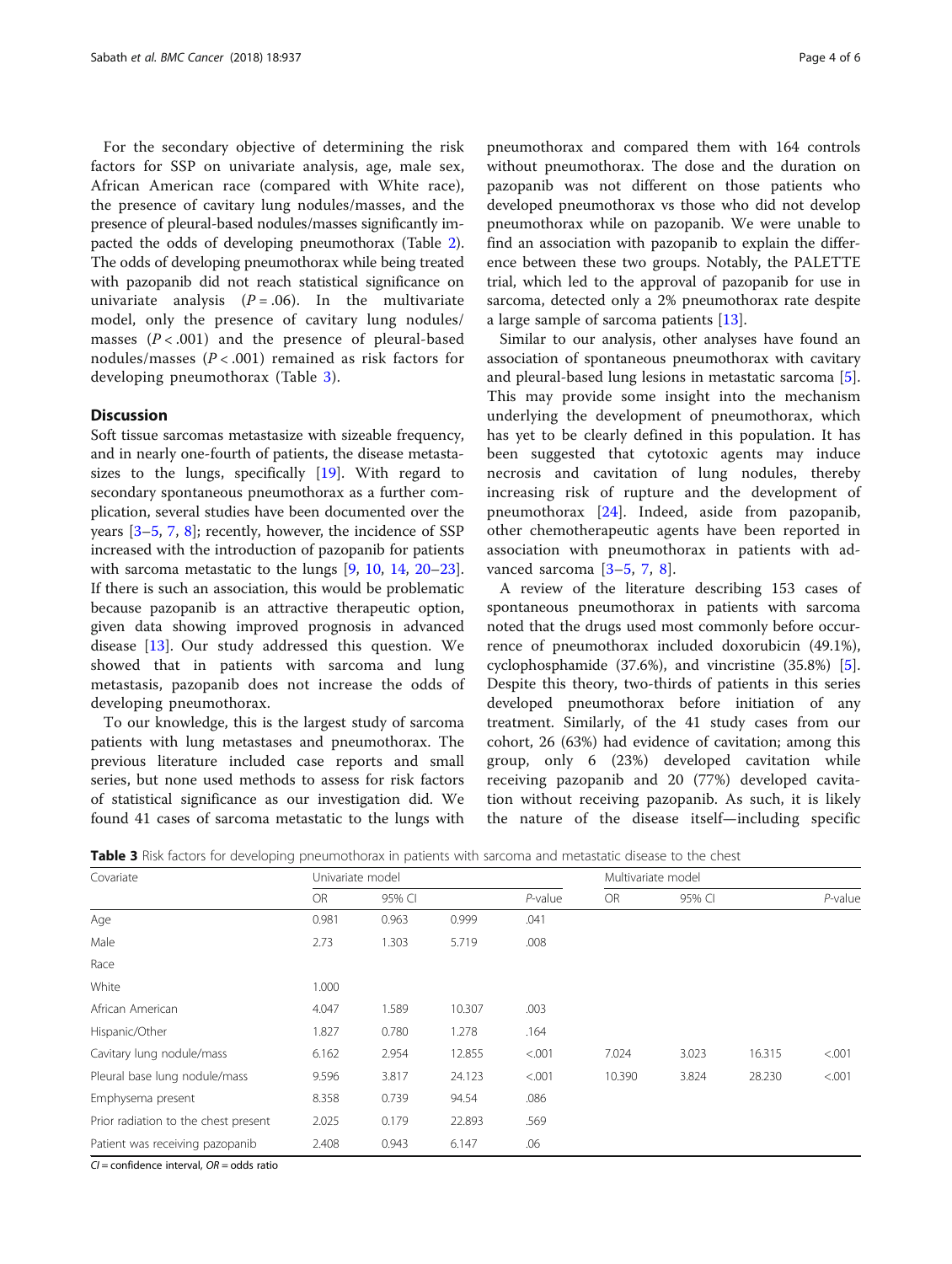For the secondary objective of determining the risk factors for SSP on univariate analysis, age, male sex, African American race (compared with White race), the presence of cavitary lung nodules/masses, and the presence of pleural-based nodules/masses significantly impacted the odds of developing pneumothorax (Table [2](#page-2-0)). The odds of developing pneumothorax while being treated with pazopanib did not reach statistical significance on univariate analysis  $(P=.06)$ . In the multivariate model, only the presence of cavitary lung nodules/ masses  $(P < .001)$  and the presence of pleural-based nodules/masses  $(P < .001)$  remained as risk factors for developing pneumothorax (Table 3).

### **Discussion**

Soft tissue sarcomas metastasize with sizeable frequency, and in nearly one-fourth of patients, the disease metastasizes to the lungs, specifically [[19](#page-5-0)]. With regard to secondary spontaneous pneumothorax as a further complication, several studies have been documented over the years [[3](#page-4-0)–[5](#page-4-0), [7,](#page-4-0) [8](#page-4-0)]; recently, however, the incidence of SSP increased with the introduction of pazopanib for patients with sarcoma metastatic to the lungs [[9,](#page-4-0) [10](#page-4-0), [14,](#page-4-0) [20](#page-5-0)–[23](#page-5-0)]. If there is such an association, this would be problematic because pazopanib is an attractive therapeutic option, given data showing improved prognosis in advanced disease [\[13](#page-4-0)]. Our study addressed this question. We showed that in patients with sarcoma and lung metastasis, pazopanib does not increase the odds of developing pneumothorax.

To our knowledge, this is the largest study of sarcoma patients with lung metastases and pneumothorax. The previous literature included case reports and small series, but none used methods to assess for risk factors of statistical significance as our investigation did. We found 41 cases of sarcoma metastatic to the lungs with pneumothorax and compared them with 164 controls without pneumothorax. The dose and the duration on pazopanib was not different on those patients who developed pneumothorax vs those who did not develop pneumothorax while on pazopanib. We were unable to find an association with pazopanib to explain the difference between these two groups. Notably, the PALETTE trial, which led to the approval of pazopanib for use in sarcoma, detected only a 2% pneumothorax rate despite a large sample of sarcoma patients [\[13](#page-4-0)].

Similar to our analysis, other analyses have found an association of spontaneous pneumothorax with cavitary and pleural-based lung lesions in metastatic sarcoma [\[5](#page-4-0)]. This may provide some insight into the mechanism underlying the development of pneumothorax, which has yet to be clearly defined in this population. It has been suggested that cytotoxic agents may induce necrosis and cavitation of lung nodules, thereby increasing risk of rupture and the development of pneumothorax [[24\]](#page-5-0). Indeed, aside from pazopanib, other chemotherapeutic agents have been reported in association with pneumothorax in patients with advanced sarcoma [\[3](#page-4-0)–[5](#page-4-0), [7](#page-4-0), [8\]](#page-4-0).

A review of the literature describing 153 cases of spontaneous pneumothorax in patients with sarcoma noted that the drugs used most commonly before occurrence of pneumothorax included doxorubicin (49.1%), cyclophosphamide (37.6%), and vincristine (35.8%) [\[5](#page-4-0)]. Despite this theory, two-thirds of patients in this series developed pneumothorax before initiation of any treatment. Similarly, of the 41 study cases from our cohort, 26 (63%) had evidence of cavitation; among this group, only 6 (23%) developed cavitation while receiving pazopanib and 20 (77%) developed cavitation without receiving pazopanib. As such, it is likely the nature of the disease itself—including specific

| Covariate<br>Age                     | Univariate model |        |        | Multivariate model |           |        |        |            |
|--------------------------------------|------------------|--------|--------|--------------------|-----------|--------|--------|------------|
|                                      | <b>OR</b>        | 95% CI |        | $P$ -value         | <b>OR</b> | 95% CI |        | $P$ -value |
|                                      | 0.981            | 0.963  | 0.999  | .041               |           |        |        |            |
| Male                                 | 2.73             | 1.303  | 5.719  | .008               |           |        |        |            |
| Race                                 |                  |        |        |                    |           |        |        |            |
| White                                | 1.000            |        |        |                    |           |        |        |            |
| African American                     | 4.047            | 1.589  | 10.307 | .003               |           |        |        |            |
| Hispanic/Other                       | 1.827            | 0.780  | 1.278  | .164               |           |        |        |            |
| Cavitary lung nodule/mass            | 6.162            | 2.954  | 12.855 | < 0.001            | 7.024     | 3.023  | 16.315 | < .001     |
| Pleural base lung nodule/mass        | 9.596            | 3.817  | 24.123 | < .001             | 10.390    | 3.824  | 28.230 | < .001     |
| Emphysema present                    | 8.358            | 0.739  | 94.54  | .086               |           |        |        |            |
| Prior radiation to the chest present | 2.025            | 0.179  | 22.893 | .569               |           |        |        |            |
| Patient was receiving pazopanib      | 2.408            | 0.943  | 6.147  | .06                |           |        |        |            |

Table 3 Risk factors for developing pneumothorax in patients with sarcoma and metastatic disease to the chest

 $CI =$  confidence interval,  $OR =$  odds ratio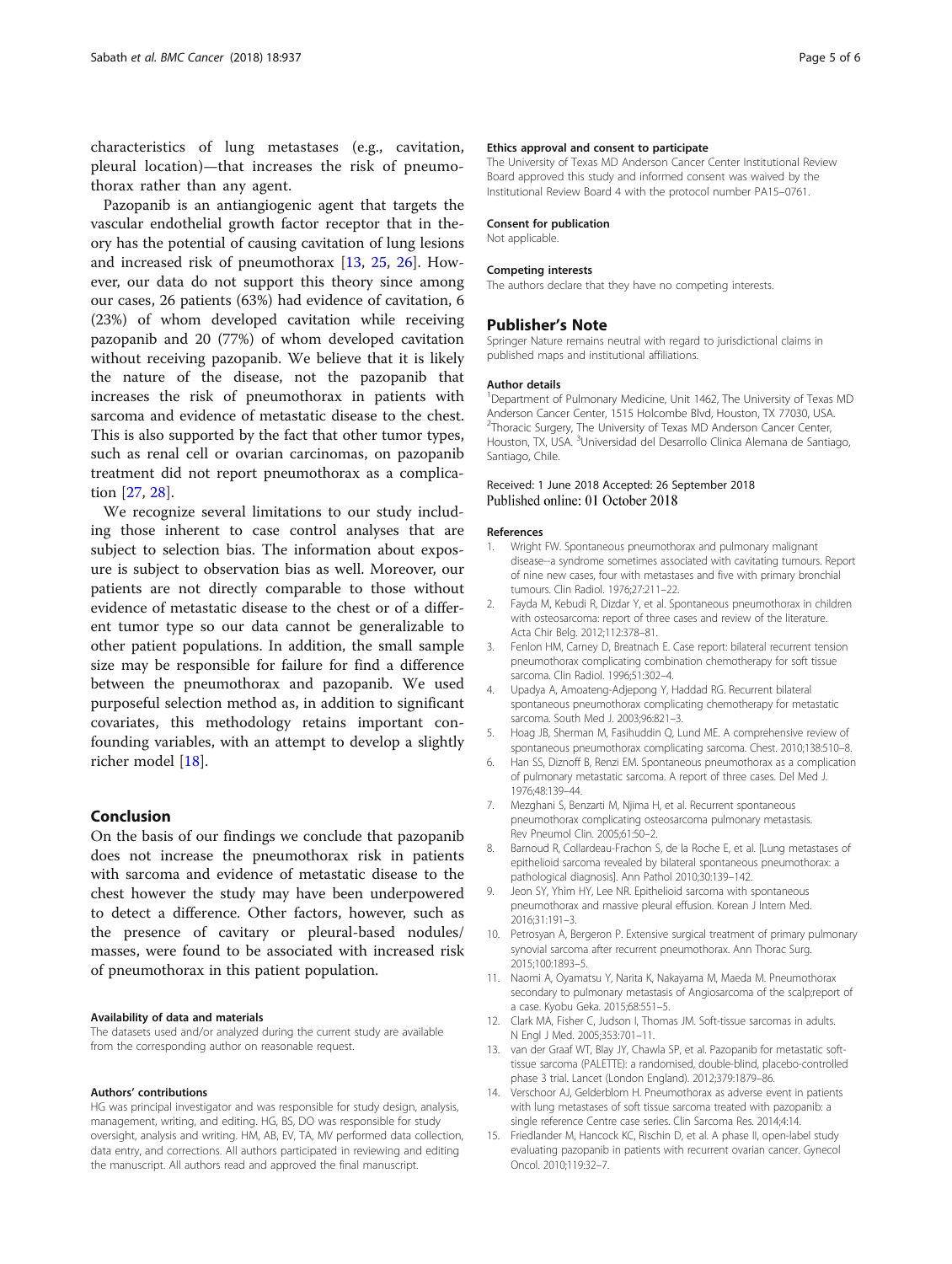<span id="page-4-0"></span>characteristics of lung metastases (e.g., cavitation, pleural location)—that increases the risk of pneumothorax rather than any agent.

Pazopanib is an antiangiogenic agent that targets the vascular endothelial growth factor receptor that in theory has the potential of causing cavitation of lung lesions and increased risk of pneumothorax [13, [25](#page-5-0), [26](#page-5-0)]. However, our data do not support this theory since among our cases, 26 patients (63%) had evidence of cavitation, 6 (23%) of whom developed cavitation while receiving pazopanib and 20 (77%) of whom developed cavitation without receiving pazopanib. We believe that it is likely the nature of the disease, not the pazopanib that increases the risk of pneumothorax in patients with sarcoma and evidence of metastatic disease to the chest. This is also supported by the fact that other tumor types, such as renal cell or ovarian carcinomas, on pazopanib treatment did not report pneumothorax as a complication [\[27,](#page-5-0) [28\]](#page-5-0).

We recognize several limitations to our study including those inherent to case control analyses that are subject to selection bias. The information about exposure is subject to observation bias as well. Moreover, our patients are not directly comparable to those without evidence of metastatic disease to the chest or of a different tumor type so our data cannot be generalizable to other patient populations. In addition, the small sample size may be responsible for failure for find a difference between the pneumothorax and pazopanib. We used purposeful selection method as, in addition to significant covariates, this methodology retains important confounding variables, with an attempt to develop a slightly richer model [\[18](#page-5-0)].

#### Conclusion

On the basis of our findings we conclude that pazopanib does not increase the pneumothorax risk in patients with sarcoma and evidence of metastatic disease to the chest however the study may have been underpowered to detect a difference. Other factors, however, such as the presence of cavitary or pleural-based nodules/ masses, were found to be associated with increased risk of pneumothorax in this patient population.

#### Availability of data and materials

The datasets used and/or analyzed during the current study are available from the corresponding author on reasonable request.

#### Authors' contributions

HG was principal investigator and was responsible for study design, analysis, management, writing, and editing. HG, BS, DO was responsible for study oversight, analysis and writing. HM, AB, EV, TA, MV performed data collection, data entry, and corrections. All authors participated in reviewing and editing the manuscript. All authors read and approved the final manuscript.

#### Ethics approval and consent to participate

The University of Texas MD Anderson Cancer Center Institutional Review Board approved this study and informed consent was waived by the Institutional Review Board 4 with the protocol number PA15–0761.

#### Consent for publication

Not applicable.

#### Competing interests

The authors declare that they have no competing interests.

#### Publisher's Note

Springer Nature remains neutral with regard to jurisdictional claims in published maps and institutional affiliations.

#### Author details

<sup>1</sup>Department of Pulmonary Medicine, Unit 1462, The University of Texas MD Anderson Cancer Center, 1515 Holcombe Blvd, Houston, TX 77030, USA. <sup>2</sup>Thoracic Surgery, The University of Texas MD Anderson Cancer Center Houston, TX, USA. <sup>3</sup>Universidad del Desarrollo Clinica Alemana de Santiago, Santiago, Chile.

#### Received: 1 June 2018 Accepted: 26 September 2018 Published online: 01 October 2018

#### References

- 1. Wright FW. Spontaneous pneumothorax and pulmonary malignant disease--a syndrome sometimes associated with cavitating tumours. Report of nine new cases, four with metastases and five with primary bronchial tumours. Clin Radiol. 1976;27:211–22.
- 2. Fayda M, Kebudi R, Dizdar Y, et al. Spontaneous pneumothorax in children with osteosarcoma: report of three cases and review of the literature. Acta Chir Belg. 2012;112:378–81.
- 3. Fenlon HM, Carney D, Breatnach E. Case report: bilateral recurrent tension pneumothorax complicating combination chemotherapy for soft tissue sarcoma. Clin Radiol. 1996;51:302–4.
- 4. Upadya A, Amoateng-Adjepong Y, Haddad RG. Recurrent bilateral spontaneous pneumothorax complicating chemotherapy for metastatic sarcoma. South Med J. 2003;96:821–3.
- Hoag JB, Sherman M, Fasihuddin Q, Lund ME. A comprehensive review of spontaneous pneumothorax complicating sarcoma. Chest. 2010;138:510–8.
- 6. Han SS, Diznoff B, Renzi EM. Spontaneous pneumothorax as a complication of pulmonary metastatic sarcoma. A report of three cases. Del Med J. 1976;48:139–44.
- 7. Mezghani S, Benzarti M, Njima H, et al. Recurrent spontaneous pneumothorax complicating osteosarcoma pulmonary metastasis. Rev Pneumol Clin. 2005;61:50–2.
- 8. Barnoud R, Collardeau-Frachon S, de la Roche E, et al. [Lung metastases of epithelioid sarcoma revealed by bilateral spontaneous pneumothorax: a pathological diagnosis]. Ann Pathol 2010;30:139–142.
- 9. Jeon SY, Yhim HY, Lee NR. Epithelioid sarcoma with spontaneous pneumothorax and massive pleural effusion. Korean J Intern Med. 2016;31:191–3.
- 10. Petrosyan A, Bergeron P. Extensive surgical treatment of primary pulmonary synovial sarcoma after recurrent pneumothorax. Ann Thorac Surg. 2015;100:1893–5.
- 11. Naomi A, Oyamatsu Y, Narita K, Nakayama M, Maeda M. Pneumothorax secondary to pulmonary metastasis of Angiosarcoma of the scalp;report of a case. Kyobu Geka. 2015;68:551–5.
- 12. Clark MA, Fisher C, Judson I, Thomas JM. Soft-tissue sarcomas in adults. N Engl J Med. 2005;353:701–11.
- 13. van der Graaf WT, Blay JY, Chawla SP, et al. Pazopanib for metastatic softtissue sarcoma (PALETTE): a randomised, double-blind, placebo-controlled phase 3 trial. Lancet (London England). 2012;379:1879–86.
- 14. Verschoor AJ, Gelderblom H. Pneumothorax as adverse event in patients with lung metastases of soft tissue sarcoma treated with pazopanib: a single reference Centre case series. Clin Sarcoma Res. 2014;4:14.
- 15. Friedlander M, Hancock KC, Rischin D, et al. A phase II, open-label study evaluating pazopanib in patients with recurrent ovarian cancer. Gynecol Oncol. 2010;119:32–7.